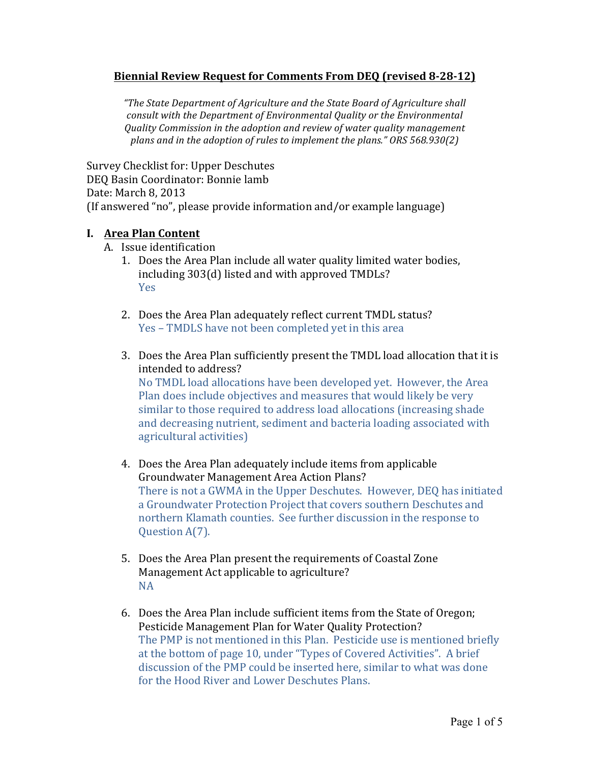### **Biennial'Review'Request'for'Comments'From'DEQ (revised'8;28;12)**

*"The%State%Department%of%Agriculture%and%the%State%Board%of%Agriculture%shall%* consult with the Department of Environmental Quality or the Environmental *Quality%Commission%in%the%adoption%and review%of%water%quality%management% plans and in the adoption of rules to implement the plans." ORS 568.930(2)* 

Survey Checklist for: Upper Deschutes DEO Basin Coordinator: Bonnie lamb Date: March 8, 2013 (If answered "no", please provide information and/or example language)

## **I.** Area Plan Content

- A. Issue identification
	- 1. Does the Area Plan include all water quality limited water bodies, including  $303(d)$  listed and with approved TMDLs? Yes
	- 2. Does the Area Plan adequately reflect current TMDL status? Yes – TMDLS have not been completed yet in this area
	- 3. Does the Area Plan sufficiently present the TMDL load allocation that it is intended to address? No TMDL load allocations have been developed yet. However, the Area Plan does include objectives and measures that would likely be very similar to those required to address load allocations (increasing shade and decreasing nutrient, sediment and bacteria loading associated with agricultural activities)
	- 4. Does the Area Plan adequately include items from applicable Groundwater Management Area Action Plans? There is not a GWMA in the Upper Deschutes. However, DEQ has initiated a Groundwater Protection Project that covers southern Deschutes and northern Klamath counties. See further discussion in the response to Ouestion A(7).
	- 5. Does the Area Plan present the requirements of Coastal Zone Management Act applicable to agriculture? NA
	- 6. Does the Area Plan include sufficient items from the State of Oregon; Pesticide Management Plan for Water Quality Protection? The PMP is not mentioned in this Plan. Pesticide use is mentioned briefly at the bottom of page 10, under "Types of Covered Activities". A brief discussion of the PMP could be inserted here, similar to what was done for the Hood River and Lower Deschutes Plans.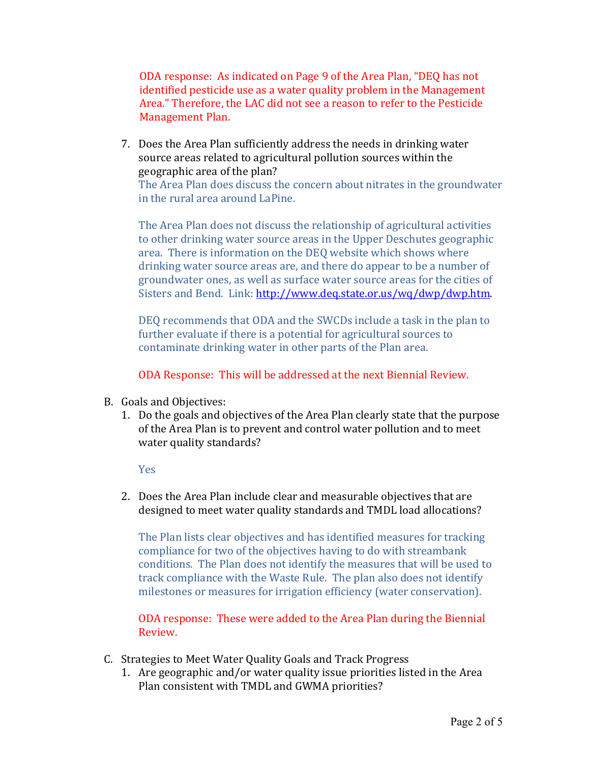ODA response: As indicated on Page 9 of the Area Plan, "DEQ has not identified pesticide use as a water quality problem in the Management Area." Therefore, the LAC did not see a reason to refer to the Pesticide Management Plan.

7. Does the Area Plan sufficiently address the needs in drinking water source areas related to agricultural pollution sources within the geographic area of the plan?

The Area Plan does discuss the concern about nitrates in the groundwater in the rural area around LaPine.

The Area Plan does not discuss the relationship of agricultural activities to other drinking water source areas in the Upper Deschutes geographic area. There is information on the DEQ website which shows where drinking water source areas are, and there do appear to be a number of groundwater ones, as well as surface water source areas for the cities of Sisters and Bend. Link: http://www.deq.state.or.us/wq/dwp/dwp.htm.

DEQ recommends that ODA and the SWCDs include a task in the plan to further evaluate if there is a potential for agricultural sources to contaminate drinking water in other parts of the Plan area.

ODA Response: This will be addressed at the next Biennial Review.

- B. Goals and Objectives:
	- 1. Do the goals and objectives of the Area Plan clearly state that the purpose of the Area Plan is to prevent and control water pollution and to meet water quality standards?

Yes

2. Does the Area Plan include clear and measurable objectives that are designed to meet water quality standards and TMDL load allocations?

The Plan lists clear objectives and has identified measures for tracking compliance for two of the objectives having to do with streambank conditions. The Plan does not identify the measures that will be used to track compliance with the Waste Rule. The plan also does not identify milestones or measures for irrigation efficiency (water conservation).

ODA response: These were added to the Area Plan during the Biennial Review.

- C. Strategies to Meet Water Quality Goals and Track Progress
	- 1. Are geographic and/or water quality issue priorities listed in the Area Plan consistent with TMDL and GWMA priorities?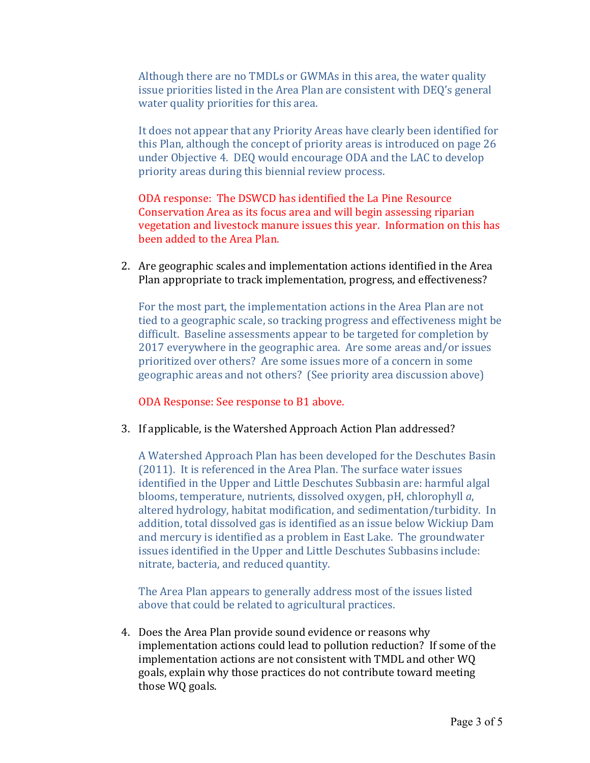Although there are no TMDLs or GWMAs in this area, the water quality issue priorities listed in the Area Plan are consistent with DEQ's general water quality priorities for this area.

It does not appear that any Priority Areas have clearly been identified for this Plan, although the concept of priority areas is introduced on page 26 under Objective 4. DEQ would encourage ODA and the LAC to develop priority areas during this biennial review process.

ODA response: The DSWCD has identified the La Pine Resource Conservation Area as its focus area and will begin assessing riparian vegetation and livestock manure issues this year. Information on this has been added to the Area Plan.

2. Are geographic scales and implementation actions identified in the Area Plan appropriate to track implementation, progress, and effectiveness?

For the most part, the implementation actions in the Area Plan are not tied to a geographic scale, so tracking progress and effectiveness might be difficult. Baseline assessments appear to be targeted for completion by 2017 everywhere in the geographic area. Are some areas and/or issues prioritized over others? Are some issues more of a concern in some geographic areas and not others? (See priority area discussion above)

ODA Response: See response to B1 above.

3. If applicable, is the Watershed Approach Action Plan addressed?

A Watershed Approach Plan has been developed for the Deschutes Basin (2011). It is referenced in the Area Plan. The surface water issues identified in the Upper and Little Deschutes Subbasin are: harmful algal blooms, temperature, nutrients, dissolved oxygen, pH, chlorophyll *a*, altered hydrology, habitat modification, and sedimentation/turbidity. In addition, total dissolved gas is identified as an issue below Wickiup Dam and mercury is identified as a problem in East Lake. The groundwater issues identified in the Upper and Little Deschutes Subbasins include: nitrate, bacteria, and reduced quantity.

The Area Plan appears to generally address most of the issues listed above that could be related to agricultural practices.

4. Does the Area Plan provide sound evidence or reasons why implementation actions could lead to pollution reduction? If some of the implementation actions are not consistent with TMDL and other WQ goals, explain why those practices do not contribute toward meeting those WQ goals.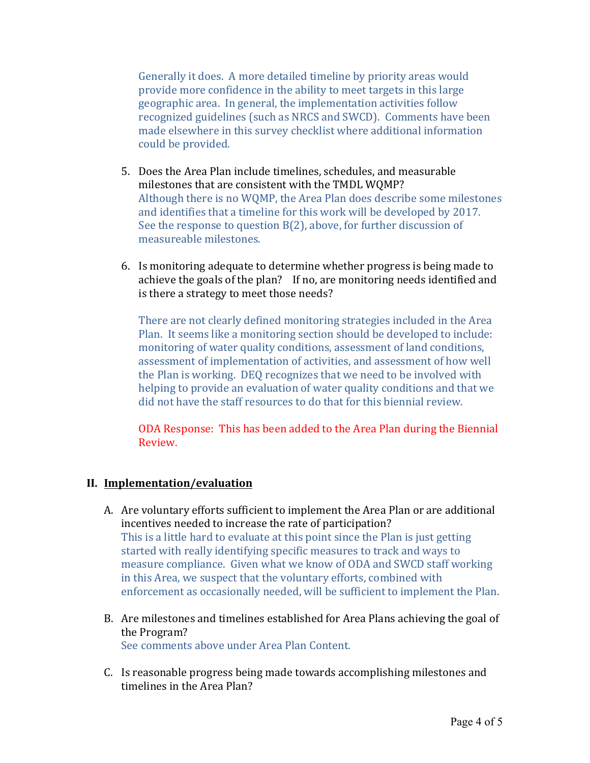Generally it does. A more detailed timeline by priority areas would provide more confidence in the ability to meet targets in this large geographic area. In general, the implementation activities follow recognized guidelines (such as NRCS and SWCD). Comments have been made elsewhere in this survey checklist where additional information could be provided.

- 5. Does the Area Plan include timelines, schedules, and measurable milestones that are consistent with the TMDL WQMP? Although there is no WQMP, the Area Plan does describe some milestones and identifies that a timeline for this work will be developed by 2017. See the response to question  $B(2)$ , above, for further discussion of measureable milestones.
- 6. Is monitoring adequate to determine whether progress is being made to achieve the goals of the plan? If no, are monitoring needs identified and is there a strategy to meet those needs?

There are not clearly defined monitoring strategies included in the Area Plan. It seems like a monitoring section should be developed to include: monitoring of water quality conditions, assessment of land conditions, assessment of implementation of activities, and assessment of how well the Plan is working. DEQ recognizes that we need to be involved with helping to provide an evaluation of water quality conditions and that we did not have the staff resources to do that for this biennial review.

ODA Response: This has been added to the Area Plan during the Biennial Review.

# **II. Implementation/evaluation**

- A. Are voluntary efforts sufficient to implement the Area Plan or are additional incentives needed to increase the rate of participation? This is a little hard to evaluate at this point since the Plan is just getting started with really identifying specific measures to track and ways to measure compliance. Given what we know of ODA and SWCD staff working in this Area, we suspect that the voluntary efforts, combined with enforcement as occasionally needed, will be sufficient to implement the Plan.
- B. Are milestones and timelines established for Area Plans achieving the goal of the Program? See comments above under Area Plan Content.
- C. Is reasonable progress being made towards accomplishing milestones and timelines in the Area Plan?